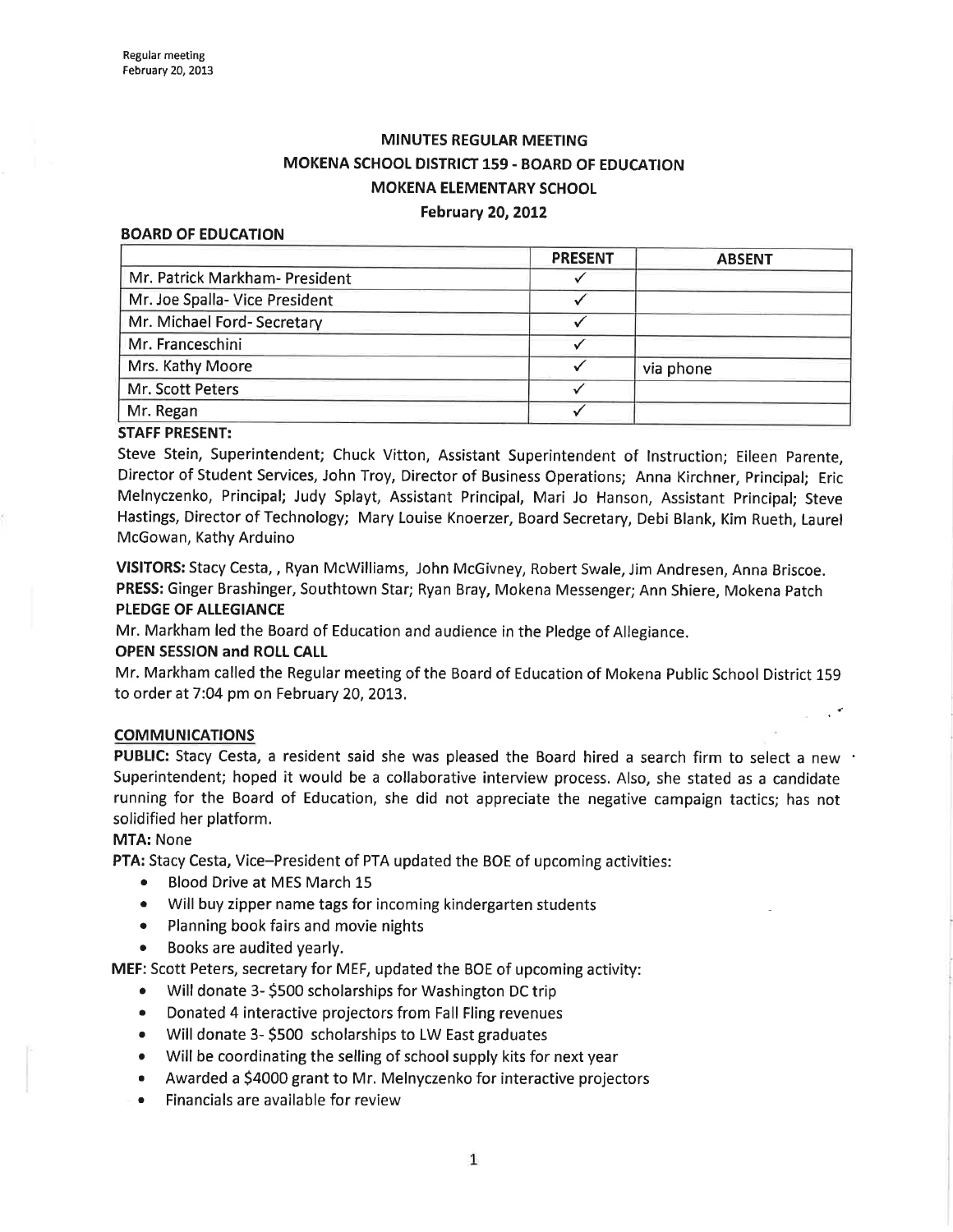# MINUTES REGULAR MEETING MOKENA SCHOOL DISTRICT 159. BOARD OF EDUCATION MOKENA ELEMENTARY SCHOOL

#### February 20,2OL2

#### BOARD OF EDUCATION

|                                | <b>PRESENT</b> | <b>ABSENT</b> |
|--------------------------------|----------------|---------------|
| Mr. Patrick Markham- President |                |               |
| Mr. Joe Spalla- Vice President |                |               |
| Mr. Michael Ford-Secretary     |                |               |
| Mr. Franceschini               |                |               |
| Mrs. Kathy Moore               |                | via phone     |
| Mr. Scott Peters               |                |               |
| Mr. Regan                      |                |               |
|                                |                |               |

# STAFF PRESENT:

Steve Stein, Superintendent; Chuck Vitton, Assistant Superintendent of lnstruction; Eileen Parente, Director of Student Services, John Troy, Director of Business Operations; Anna Kirchner, principal; Eric Melnyczenko, Principal; Judy Splayt, Assistant Principal, Mari Jo Hanson, Assistant Principal; Steve Hastings, Director of Technology; Mary Louise Knoerzer, Board Secretary, Debi Blank, Kim Rueth, Laurel McGowan, Kathy Arduino

VISITORS: Stacy Cesta, , Ryan McWilliams, John McGivney, Robert Swale, Jim Andresen, Anna Briscoe. PRESS: Ginger Brashinger, Southtown Star; Ryan Bray, Mokena Messenger; Ann Shiere, Mokena patch PLEDGE OF ALLEGIANCE

Mr. Markham led the Board of Education and audience in the Pledge of Allegiance.

# OPEN SESSION and ROIL CALL

Mr. Markham called the Regular meeting of the Board of Education of Mokena Public School District L59 to order at 7:04 pm on February 20, 2013.

# COMMUNICATIONS

PUBLIC: Stacy Cesta, a resident said she was pleased the Board hired a search firm to select a new Superintendent; hoped it would be a collaborative interview process. Also, she stated as a candidate running for the Board of Education, she did not appreciate the negative campaign tactics; has not solidified her platform.

# MTA: None

PTA: Stacy Cesta, Vice-President of PTA updated the BOE of upcoming activities:

- Blood Drive at MES March 15
- Will buy zipper name tags for incoming kindergarten students
- Planning book fairs and movie nights
- Books are audited yearly.

MEF: Scott Peters, secretary for MEF, updated the BOE of upcoming activity:

- Will donate 3- \$500 scholarships for Washington DC trip
- Donated 4 interactive projectors from Fall Fling revenues
- Will donate 3- \$500 scholarships to LW East graduates
- Will be coordinating the selling of school supply kits for next year
- ¡ Awarded a 54000 grant to Mr. Melnyczenko for interactive projectors
- . Financials are available for review